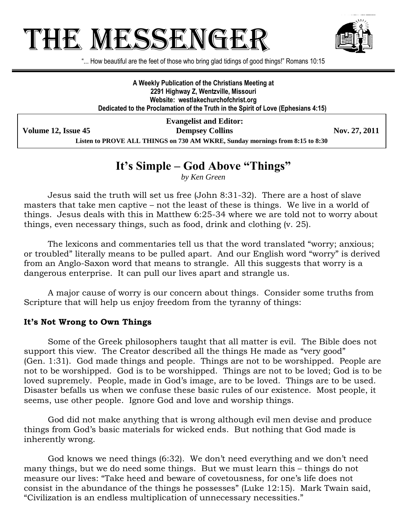# THE MESSENGE!



"... How beautiful are the feet of those who bring glad tidings of good things!" Romans 10:15

**A Weekly Publication of the Christians Meeting at 2291 Highway Z, Wentzville, Missouri Website: westlakechurchofchrist.org Dedicated to the Proclamation of the Truth in the Spirit of Love (Ephesians 4:15)**

**Evangelist and Editor: Volume 12, Issue 45 Dempsey Collins Nov. 27, 2011 Listen to PROVE ALL THINGS on 730 AM WKRE, Sunday mornings from 8:15 to 8:30**

## **It's Simple – God Above "Things"**

*by Ken Green*

Jesus said the truth will set us free (John 8:31-32). There are a host of slave masters that take men captive – not the least of these is things. We live in a world of things. Jesus deals with this in Matthew 6:25-34 where we are told not to worry about things, even necessary things, such as food, drink and clothing (v. 25).

The lexicons and commentaries tell us that the word translated "worry; anxious; or troubled" literally means to be pulled apart. And our English word "worry" is derived from an Anglo-Saxon word that means to strangle. All this suggests that worry is a dangerous enterprise. It can pull our lives apart and strangle us.

A major cause of worry is our concern about things. Consider some truths from Scripture that will help us enjoy freedom from the tyranny of things:

#### **It's Not Wrong to Own Things**

Some of the Greek philosophers taught that all matter is evil. The Bible does not support this view. The Creator described all the things He made as "very good" (Gen. 1:31). God made things and people. Things are not to be worshipped. People are not to be worshipped. God is to be worshipped. Things are not to be loved; God is to be loved supremely. People, made in God's image, are to be loved. Things are to be used. Disaster befalls us when we confuse these basic rules of our existence. Most people, it seems, use other people. Ignore God and love and worship things.

God did not make anything that is wrong although evil men devise and produce things from God's basic materials for wicked ends. But nothing that God made is inherently wrong.

God knows we need things (6:32). We don't need everything and we don't need many things, but we do need some things. But we must learn this – things do not measure our lives: "Take heed and beware of covetousness, for one's life does not consist in the abundance of the things he possesses" (Luke 12:15). Mark Twain said, "Civilization is an endless multiplication of unnecessary necessities."